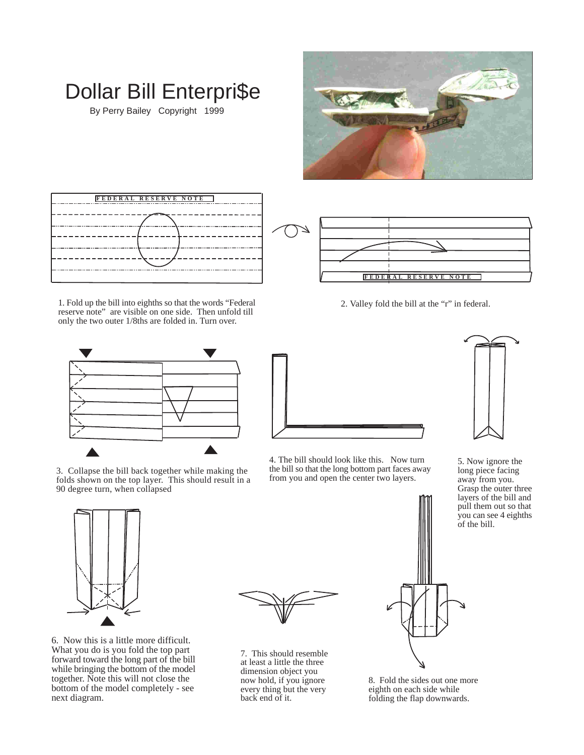

2. Valley fold the bill at the "r" in federal.

**FEDERAL RESERVE NOTE**



Dollar Bill Enterpri\$e

By Perry Bailey Copyright 1999

1. Fold up the bill into eighths so that the words "Federal reserve note" are visible on one side. Then unfold till only the two outer 1/8ths are folded in. Turn over.



3. Collapse the bill back together while making the folds shown on the top layer. This should result in a 90 degree turn, when collapsed



4. The bill should look like this. Now turn the bill so that the long bottom part faces away from you and open the center two layers.



5. Now ignore the long piece facing away from you. Grasp the outer three layers of the bill and pull them out so that you can see 4 eighths of the bill.



6. Now this is a little more difficult. What you do is you fold the top part forward toward the long part of the bill while bringing the bottom of the model together. Note this will not close the bottom of the model completely - see next diagram.



7. This should resemble at least a little the three dimension object you now hold, if you ignore every thing but the very back end of it.



8. Fold the sides out one more eighth on each side while folding the flap downwards.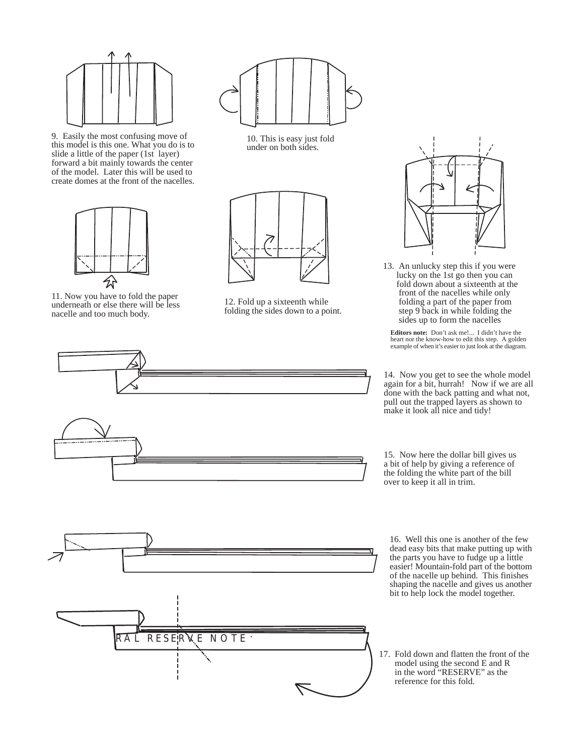

9. Easily the most confusing move of this model is this one. What you do is to slide a little of the paper (1st layer) forward a bit mainly towards the center of the model. Later this will be used to create domes at the front of the nacelles.



11. Now you have to fold the paper underneath or else there will be less nacelle and too much body.



10. This is easy just fold under on both sides.



12. Fold up a sixteenth while folding the sides down to a point.





13. An unlucky step this if you were lucky on the 1st go then you can fold down about a sixteenth at the front of the nacelles while only folding a part of the paper from step 9 back in while folding the sides up to form the nacelles

**Editors note:** Don't ask me!... I didn't have the heart nor the know-how to edit this step. A golden example of when it's easier to just look at the diagram.

14. Now you get to see the whole model again for a bit, hurrah! Now if we are all done with the back patting and what not, pull out the trapped layers as shown to make it look all nice and tidy!

15. Now here the dollar bill gives us a bit of help by giving a reference of the folding the white part of the bill over to keep it all in trim.

16. Well this one is another of the few dead easy bits that make putting up with the parts you have to fudge up a little easier! Mountain-fold part of the bottom of the nacelle up behind. This finishes shaping the nacelle and gives us another bit to help lock the model together.

17. Fold down and flatten the front of the model using the second E and R in the word "RESERVE" as the reference for this fold.